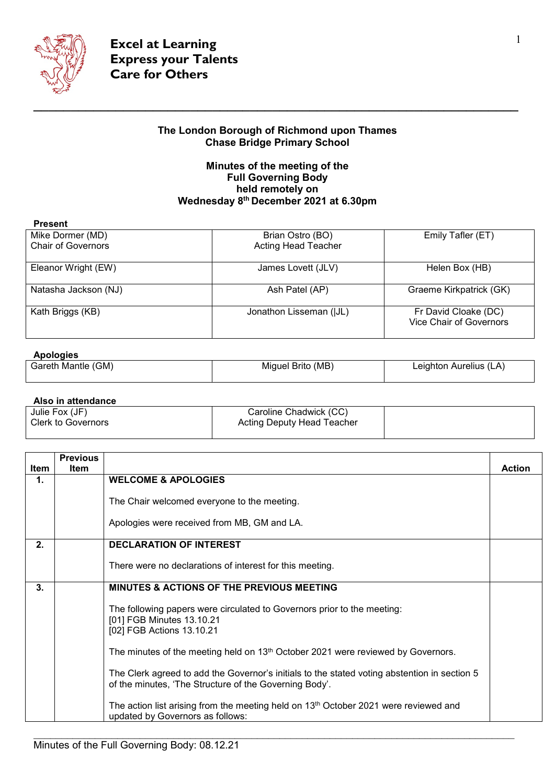

## **The London Borough of Richmond upon Thames Chase Bridge Primary School**

## **Minutes of the meeting of the Full Governing Body held remotely on Wednesday 8th December 2021 at 6.30pm**

| <b>Present</b>            |                            |                                                        |
|---------------------------|----------------------------|--------------------------------------------------------|
| Mike Dormer (MD)          | Brian Ostro (BO)           | Emily Tafler (ET)                                      |
| <b>Chair of Governors</b> | <b>Acting Head Teacher</b> |                                                        |
| Eleanor Wright (EW)       | James Lovett (JLV)         | Helen Box (HB)                                         |
| Natasha Jackson (NJ)      | Ash Patel (AP)             | Graeme Kirkpatrick (GK)                                |
| Kath Briggs (KB)          | Jonathon Lisseman (JJL)    | Fr David Cloake (DC)<br><b>Vice Chair of Governors</b> |

## **Apologies**

| (GM)<br>.<br>، Gareth Mantle | Miquel Brito (MB) | 丶Aurelius (L,<br>∟eighton<br>$\mathcal{A}$ |
|------------------------------|-------------------|--------------------------------------------|
|                              |                   |                                            |

**Also in attendance**

| Julie Fox (JF)            | Caroline Chadwick (CC)     |  |
|---------------------------|----------------------------|--|
| <b>Clerk to Governors</b> | Acting Deputy Head Teacher |  |
|                           |                            |  |

|      | <b>Previous</b> |                                                                                                                                                        |               |
|------|-----------------|--------------------------------------------------------------------------------------------------------------------------------------------------------|---------------|
| Item | <b>Item</b>     |                                                                                                                                                        | <b>Action</b> |
| 1.   |                 | <b>WELCOME &amp; APOLOGIES</b>                                                                                                                         |               |
|      |                 | The Chair welcomed everyone to the meeting.                                                                                                            |               |
|      |                 | Apologies were received from MB, GM and LA.                                                                                                            |               |
| 2.   |                 | <b>DECLARATION OF INTEREST</b>                                                                                                                         |               |
|      |                 | There were no declarations of interest for this meeting.                                                                                               |               |
| 3.   |                 | MINUTES & ACTIONS OF THE PREVIOUS MEETING                                                                                                              |               |
|      |                 | The following papers were circulated to Governors prior to the meeting:<br>[01] FGB Minutes 13.10.21<br>[02] FGB Actions 13.10.21                      |               |
|      |                 | The minutes of the meeting held on 13 <sup>th</sup> October 2021 were reviewed by Governors.                                                           |               |
|      |                 | The Clerk agreed to add the Governor's initials to the stated voting abstention in section 5<br>of the minutes, 'The Structure of the Governing Body'. |               |
|      |                 | The action list arising from the meeting held on 13 <sup>th</sup> October 2021 were reviewed and<br>updated by Governors as follows:                   |               |

 $\_$  , and the set of the set of the set of the set of the set of the set of the set of the set of the set of the set of the set of the set of the set of the set of the set of the set of the set of the set of the set of th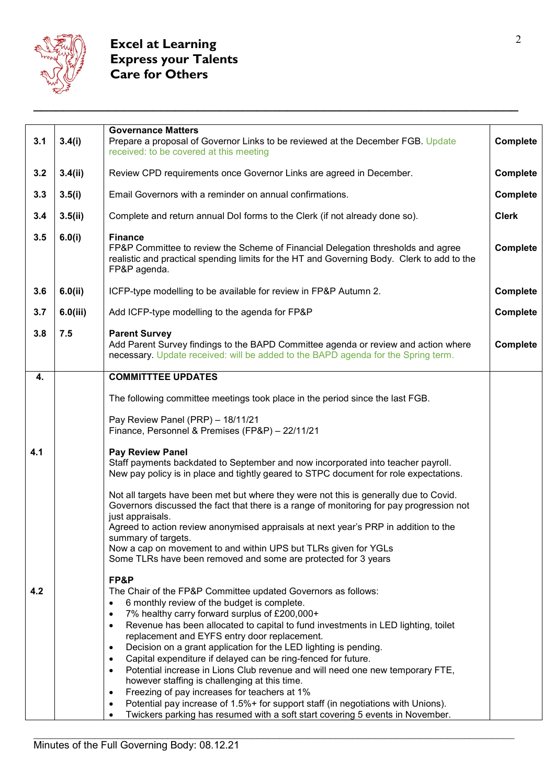

| 3.4(i)   | <b>Governance Matters</b><br>Prepare a proposal of Governor Links to be reviewed at the December FGB. Update<br>received: to be covered at this meeting                                                                                                                                                                                                                                                                                                                                                                                                                                                                                                                                                                                                                                                          | <b>Complete</b>                                                               |
|----------|------------------------------------------------------------------------------------------------------------------------------------------------------------------------------------------------------------------------------------------------------------------------------------------------------------------------------------------------------------------------------------------------------------------------------------------------------------------------------------------------------------------------------------------------------------------------------------------------------------------------------------------------------------------------------------------------------------------------------------------------------------------------------------------------------------------|-------------------------------------------------------------------------------|
| 3.4(ii)  | Review CPD requirements once Governor Links are agreed in December.                                                                                                                                                                                                                                                                                                                                                                                                                                                                                                                                                                                                                                                                                                                                              | <b>Complete</b>                                                               |
| 3.5(i)   | Email Governors with a reminder on annual confirmations.                                                                                                                                                                                                                                                                                                                                                                                                                                                                                                                                                                                                                                                                                                                                                         | <b>Complete</b>                                                               |
| 3.5(ii)  | Complete and return annual Dol forms to the Clerk (if not already done so).                                                                                                                                                                                                                                                                                                                                                                                                                                                                                                                                                                                                                                                                                                                                      | <b>Clerk</b>                                                                  |
| 6.0(i)   | <b>Finance</b><br>FP&P Committee to review the Scheme of Financial Delegation thresholds and agree<br>realistic and practical spending limits for the HT and Governing Body. Clerk to add to the<br>FP&P agenda.                                                                                                                                                                                                                                                                                                                                                                                                                                                                                                                                                                                                 | Complete                                                                      |
| 6.0(ii)  | ICFP-type modelling to be available for review in FP&P Autumn 2.                                                                                                                                                                                                                                                                                                                                                                                                                                                                                                                                                                                                                                                                                                                                                 | <b>Complete</b>                                                               |
| 6.0(iii) | Add ICFP-type modelling to the agenda for FP&P                                                                                                                                                                                                                                                                                                                                                                                                                                                                                                                                                                                                                                                                                                                                                                   | <b>Complete</b>                                                               |
| 7.5      | <b>Parent Survey</b><br>Add Parent Survey findings to the BAPD Committee agenda or review and action where<br>necessary. Update received: will be added to the BAPD agenda for the Spring term.                                                                                                                                                                                                                                                                                                                                                                                                                                                                                                                                                                                                                  | <b>Complete</b>                                                               |
|          | <b>COMMITTTEE UPDATES</b>                                                                                                                                                                                                                                                                                                                                                                                                                                                                                                                                                                                                                                                                                                                                                                                        |                                                                               |
|          | The following committee meetings took place in the period since the last FGB.                                                                                                                                                                                                                                                                                                                                                                                                                                                                                                                                                                                                                                                                                                                                    |                                                                               |
|          | Pay Review Panel (PRP) - 18/11/21<br>Finance, Personnel & Premises (FP&P) - 22/11/21                                                                                                                                                                                                                                                                                                                                                                                                                                                                                                                                                                                                                                                                                                                             |                                                                               |
|          | Pay Review Panel<br>Staff payments backdated to September and now incorporated into teacher payroll.<br>New pay policy is in place and tightly geared to STPC document for role expectations.                                                                                                                                                                                                                                                                                                                                                                                                                                                                                                                                                                                                                    |                                                                               |
|          | Not all targets have been met but where they were not this is generally due to Covid.<br>Governors discussed the fact that there is a range of monitoring for pay progression not<br>just appraisals.<br>Agreed to action review anonymised appraisals at next year's PRP in addition to the<br>summary of targets.<br>Now a cap on movement to and within UPS but TLRs given for YGLs<br>Some TLRs have been removed and some are protected for 3 years                                                                                                                                                                                                                                                                                                                                                         |                                                                               |
|          | FP&P<br>The Chair of the FP&P Committee updated Governors as follows:<br>6 monthly review of the budget is complete.<br>$\bullet$<br>7% healthy carry forward surplus of £200,000+<br>$\bullet$<br>Revenue has been allocated to capital to fund investments in LED lighting, toilet<br>$\bullet$<br>replacement and EYFS entry door replacement.<br>Decision on a grant application for the LED lighting is pending.<br>$\bullet$<br>Capital expenditure if delayed can be ring-fenced for future.<br>$\bullet$<br>Potential increase in Lions Club revenue and will need one new temporary FTE,<br>$\bullet$<br>however staffing is challenging at this time.<br>Freezing of pay increases for teachers at 1%<br>$\bullet$<br>Potential pay increase of 1.5%+ for support staff (in negotiations with Unions). |                                                                               |
|          |                                                                                                                                                                                                                                                                                                                                                                                                                                                                                                                                                                                                                                                                                                                                                                                                                  | Twickers parking has resumed with a soft start covering 5 events in November. |

 $\_$  , and the set of the set of the set of the set of the set of the set of the set of the set of the set of the set of the set of the set of the set of the set of the set of the set of the set of the set of the set of th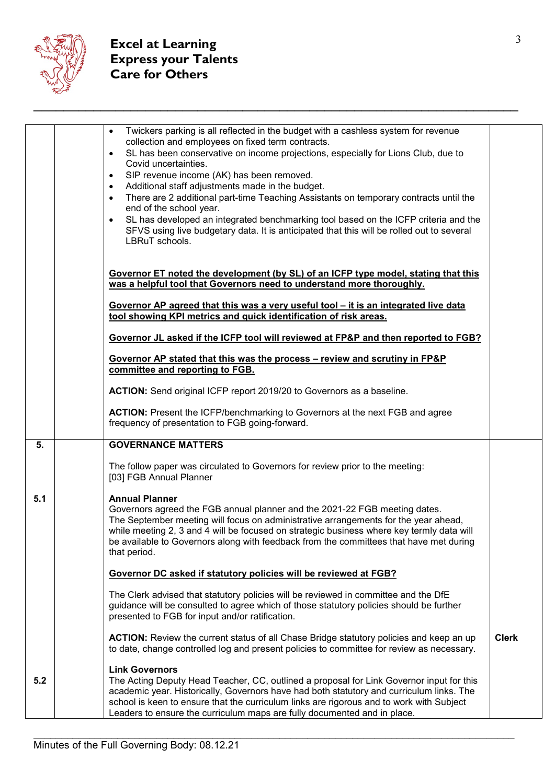

|     | Twickers parking is all reflected in the budget with a cashless system for revenue<br>$\bullet$<br>collection and employees on fixed term contracts.<br>SL has been conservative on income projections, especially for Lions Club, due to<br>$\bullet$<br>Covid uncertainties.<br>SIP revenue income (AK) has been removed.<br>$\bullet$<br>Additional staff adjustments made in the budget.<br>$\bullet$<br>There are 2 additional part-time Teaching Assistants on temporary contracts until the<br>$\bullet$<br>end of the school year.<br>SL has developed an integrated benchmarking tool based on the ICFP criteria and the<br>$\bullet$<br>SFVS using live budgetary data. It is anticipated that this will be rolled out to several<br>LBRuT schools. |              |
|-----|---------------------------------------------------------------------------------------------------------------------------------------------------------------------------------------------------------------------------------------------------------------------------------------------------------------------------------------------------------------------------------------------------------------------------------------------------------------------------------------------------------------------------------------------------------------------------------------------------------------------------------------------------------------------------------------------------------------------------------------------------------------|--------------|
|     | Governor ET noted the development (by SL) of an ICFP type model, stating that this<br>was a helpful tool that Governors need to understand more thoroughly.<br>Governor AP agreed that this was a very useful tool - it is an integrated live data<br>tool showing KPI metrics and quick identification of risk areas.                                                                                                                                                                                                                                                                                                                                                                                                                                        |              |
|     | Governor JL asked if the ICFP tool will reviewed at FP&P and then reported to FGB?                                                                                                                                                                                                                                                                                                                                                                                                                                                                                                                                                                                                                                                                            |              |
|     | Governor AP stated that this was the process – review and scrutiny in FP&P<br>committee and reporting to FGB.                                                                                                                                                                                                                                                                                                                                                                                                                                                                                                                                                                                                                                                 |              |
|     | ACTION: Send original ICFP report 2019/20 to Governors as a baseline.                                                                                                                                                                                                                                                                                                                                                                                                                                                                                                                                                                                                                                                                                         |              |
|     | <b>ACTION:</b> Present the ICFP/benchmarking to Governors at the next FGB and agree<br>frequency of presentation to FGB going-forward.                                                                                                                                                                                                                                                                                                                                                                                                                                                                                                                                                                                                                        |              |
| 5.  | <b>GOVERNANCE MATTERS</b>                                                                                                                                                                                                                                                                                                                                                                                                                                                                                                                                                                                                                                                                                                                                     |              |
|     | The follow paper was circulated to Governors for review prior to the meeting:<br>[03] FGB Annual Planner                                                                                                                                                                                                                                                                                                                                                                                                                                                                                                                                                                                                                                                      |              |
| 5.1 | <b>Annual Planner</b><br>Governors agreed the FGB annual planner and the 2021-22 FGB meeting dates.<br>The September meeting will focus on administrative arrangements for the year ahead,<br>while meeting 2, 3 and 4 will be focused on strategic business where key termly data will<br>be available to Governors along with feedback from the committees that have met during<br>that period.                                                                                                                                                                                                                                                                                                                                                             |              |
|     | Governor DC asked if statutory policies will be reviewed at FGB?                                                                                                                                                                                                                                                                                                                                                                                                                                                                                                                                                                                                                                                                                              |              |
|     | The Clerk advised that statutory policies will be reviewed in committee and the DfE<br>guidance will be consulted to agree which of those statutory policies should be further<br>presented to FGB for input and/or ratification.                                                                                                                                                                                                                                                                                                                                                                                                                                                                                                                             |              |
|     | <b>ACTION:</b> Review the current status of all Chase Bridge statutory policies and keep an up<br>to date, change controlled log and present policies to committee for review as necessary.                                                                                                                                                                                                                                                                                                                                                                                                                                                                                                                                                                   | <b>Clerk</b> |
| 5.2 | <b>Link Governors</b><br>The Acting Deputy Head Teacher, CC, outlined a proposal for Link Governor input for this<br>academic year. Historically, Governors have had both statutory and curriculum links. The<br>school is keen to ensure that the curriculum links are rigorous and to work with Subject<br>Leaders to ensure the curriculum maps are fully documented and in place.                                                                                                                                                                                                                                                                                                                                                                         |              |

 $\_$  , and the set of the set of the set of the set of the set of the set of the set of the set of the set of the set of the set of the set of the set of the set of the set of the set of the set of the set of the set of th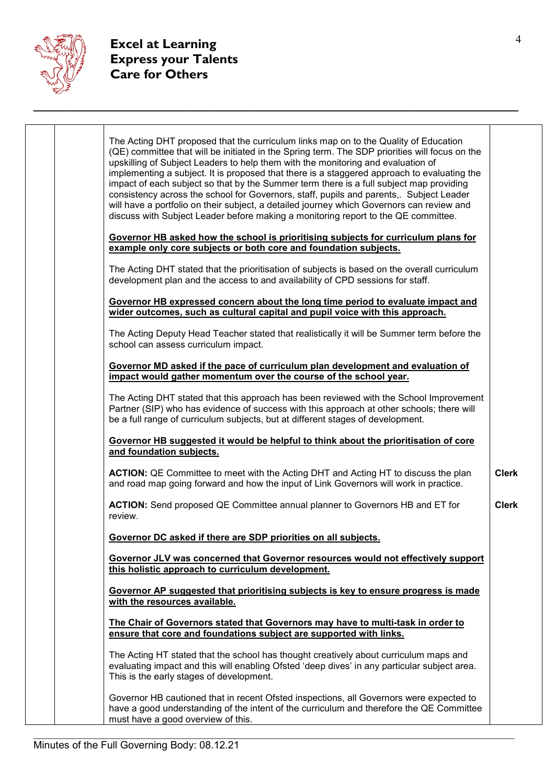

| Governor HB asked how the school is prioritising subjects for curriculum plans for<br>example only core subjects or both core and foundation subjects.<br>The Acting DHT stated that the prioritisation of subjects is based on the overall curriculum<br>development plan and the access to and availability of CPD sessions for staff.<br>Governor HB expressed concern about the long time period to evaluate impact and |  |
|-----------------------------------------------------------------------------------------------------------------------------------------------------------------------------------------------------------------------------------------------------------------------------------------------------------------------------------------------------------------------------------------------------------------------------|--|
|                                                                                                                                                                                                                                                                                                                                                                                                                             |  |
|                                                                                                                                                                                                                                                                                                                                                                                                                             |  |
| wider outcomes, such as cultural capital and pupil voice with this approach.                                                                                                                                                                                                                                                                                                                                                |  |
| The Acting Deputy Head Teacher stated that realistically it will be Summer term before the<br>school can assess curriculum impact.                                                                                                                                                                                                                                                                                          |  |
| Governor MD asked if the pace of curriculum plan development and evaluation of<br>impact would gather momentum over the course of the school year.                                                                                                                                                                                                                                                                          |  |
| The Acting DHT stated that this approach has been reviewed with the School Improvement<br>Partner (SIP) who has evidence of success with this approach at other schools; there will<br>be a full range of curriculum subjects, but at different stages of development.                                                                                                                                                      |  |
| Governor HB suggested it would be helpful to think about the prioritisation of core<br>and foundation subjects.                                                                                                                                                                                                                                                                                                             |  |
| <b>ACTION:</b> QE Committee to meet with the Acting DHT and Acting HT to discuss the plan<br><b>Clerk</b><br>and road map going forward and how the input of Link Governors will work in practice.                                                                                                                                                                                                                          |  |
| <b>ACTION:</b> Send proposed QE Committee annual planner to Governors HB and ET for<br><b>Clerk</b><br>review.                                                                                                                                                                                                                                                                                                              |  |
| Governor DC asked if there are SDP priorities on all subjects.                                                                                                                                                                                                                                                                                                                                                              |  |
| Governor JLV was concerned that Governor resources would not effectively support<br>this holistic approach to curriculum development.                                                                                                                                                                                                                                                                                       |  |
| Governor AP suggested that prioritising subjects is key to ensure progress is made<br>with the resources available.                                                                                                                                                                                                                                                                                                         |  |
| The Chair of Governors stated that Governors may have to multi-task in order to<br>ensure that core and foundations subject are supported with links.                                                                                                                                                                                                                                                                       |  |
| The Acting HT stated that the school has thought creatively about curriculum maps and<br>evaluating impact and this will enabling Ofsted 'deep dives' in any particular subject area.<br>This is the early stages of development.                                                                                                                                                                                           |  |
| Governor HB cautioned that in recent Ofsted inspections, all Governors were expected to<br>have a good understanding of the intent of the curriculum and therefore the QE Committee<br>must have a good overview of this.                                                                                                                                                                                                   |  |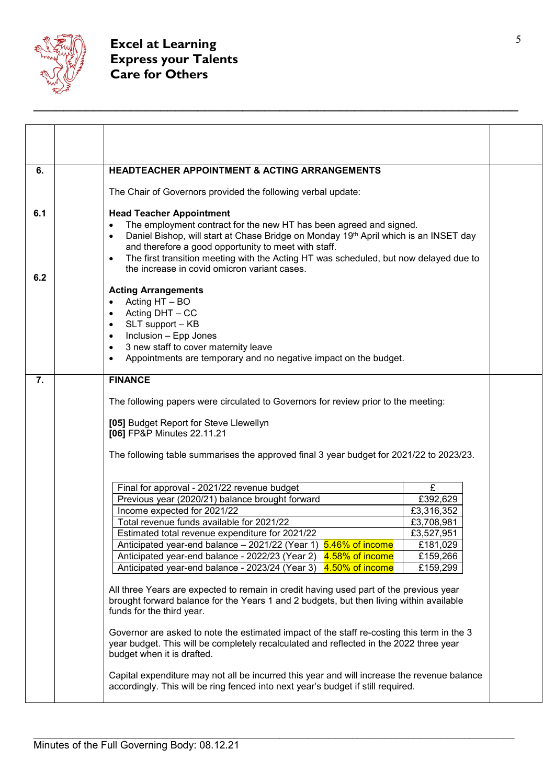

| 6.         | <b>HEADTEACHER APPOINTMENT &amp; ACTING ARRANGEMENTS</b>                                                                                                                                                                                                                                                                                                                                                                                                                                                                                    |  |
|------------|---------------------------------------------------------------------------------------------------------------------------------------------------------------------------------------------------------------------------------------------------------------------------------------------------------------------------------------------------------------------------------------------------------------------------------------------------------------------------------------------------------------------------------------------|--|
|            | The Chair of Governors provided the following verbal update:                                                                                                                                                                                                                                                                                                                                                                                                                                                                                |  |
| 6.1<br>6.2 | <b>Head Teacher Appointment</b><br>The employment contract for the new HT has been agreed and signed.<br>$\bullet$<br>Daniel Bishop, will start at Chase Bridge on Monday 19 <sup>th</sup> April which is an INSET day<br>$\bullet$<br>and therefore a good opportunity to meet with staff.<br>The first transition meeting with the Acting HT was scheduled, but now delayed due to<br>$\bullet$<br>the increase in covid omicron variant cases.                                                                                           |  |
|            | <b>Acting Arrangements</b><br>Acting HT - BO<br>$\bullet$<br>Acting DHT - CC<br>$\bullet$<br>SLT support - KB<br>$\bullet$<br>Inclusion - Epp Jones<br>$\bullet$<br>3 new staff to cover maternity leave<br>$\bullet$<br>Appointments are temporary and no negative impact on the budget.<br>$\bullet$                                                                                                                                                                                                                                      |  |
| 7.         | <b>FINANCE</b>                                                                                                                                                                                                                                                                                                                                                                                                                                                                                                                              |  |
|            | The following papers were circulated to Governors for review prior to the meeting:                                                                                                                                                                                                                                                                                                                                                                                                                                                          |  |
|            | [05] Budget Report for Steve Llewellyn<br>[06] FP&P Minutes 22.11.21                                                                                                                                                                                                                                                                                                                                                                                                                                                                        |  |
|            | The following table summarises the approved final 3 year budget for 2021/22 to 2023/23.                                                                                                                                                                                                                                                                                                                                                                                                                                                     |  |
|            | Final for approval - 2021/22 revenue budget<br>£<br>£392,629<br>Previous year (2020/21) balance brought forward<br>Income expected for 2021/22<br>£3,316,352<br>Total revenue funds available for 2021/22<br>£3,708,981<br>Estimated total revenue expenditure for 2021/22<br>£3,527,951<br>Anticipated year-end balance - 2021/22 (Year 1) 5.46% of income<br>£181,029<br>Anticipated year-end balance - 2022/23 (Year 2)<br>4.58% of income<br>£159,266<br>4.50% of income<br>Anticipated year-end balance - 2023/24 (Year 3)<br>£159,299 |  |
|            | All three Years are expected to remain in credit having used part of the previous year<br>brought forward balance for the Years 1 and 2 budgets, but then living within available<br>funds for the third year.                                                                                                                                                                                                                                                                                                                              |  |
|            | Governor are asked to note the estimated impact of the staff re-costing this term in the 3<br>year budget. This will be completely recalculated and reflected in the 2022 three year<br>budget when it is drafted.                                                                                                                                                                                                                                                                                                                          |  |
|            | Capital expenditure may not all be incurred this year and will increase the revenue balance<br>accordingly. This will be ring fenced into next year's budget if still required.                                                                                                                                                                                                                                                                                                                                                             |  |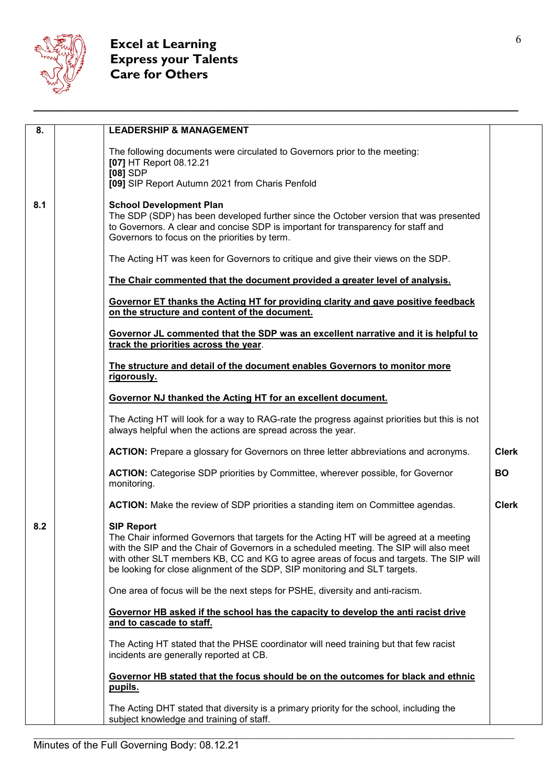

## <sup>6</sup> **Excel at Learning Express your Talents Care for Others**

| 8.  | <b>LEADERSHIP &amp; MANAGEMENT</b>                                                                                                                                               |              |
|-----|----------------------------------------------------------------------------------------------------------------------------------------------------------------------------------|--------------|
|     |                                                                                                                                                                                  |              |
|     | The following documents were circulated to Governors prior to the meeting:                                                                                                       |              |
|     | [07] HT Report 08.12.21<br>$[08]$ SDP                                                                                                                                            |              |
|     | [09] SIP Report Autumn 2021 from Charis Penfold                                                                                                                                  |              |
| 8.1 | <b>School Development Plan</b>                                                                                                                                                   |              |
|     | The SDP (SDP) has been developed further since the October version that was presented                                                                                            |              |
|     | to Governors. A clear and concise SDP is important for transparency for staff and                                                                                                |              |
|     | Governors to focus on the priorities by term.                                                                                                                                    |              |
|     | The Acting HT was keen for Governors to critique and give their views on the SDP.                                                                                                |              |
|     | The Chair commented that the document provided a greater level of analysis.                                                                                                      |              |
|     | Governor ET thanks the Acting HT for providing clarity and gave positive feedback<br>on the structure and content of the document.                                               |              |
|     | Governor JL commented that the SDP was an excellent narrative and it is helpful to<br>track the priorities across the year.                                                      |              |
|     | The structure and detail of the document enables Governors to monitor more                                                                                                       |              |
|     | rigorously.                                                                                                                                                                      |              |
|     | Governor NJ thanked the Acting HT for an excellent document.                                                                                                                     |              |
|     | The Acting HT will look for a way to RAG-rate the progress against priorities but this is not<br>always helpful when the actions are spread across the year.                     |              |
|     | <b>ACTION:</b> Prepare a glossary for Governors on three letter abbreviations and acronyms.                                                                                      | <b>Clerk</b> |
|     | <b>ACTION:</b> Categorise SDP priorities by Committee, wherever possible, for Governor<br>monitoring.                                                                            | <b>BO</b>    |
|     | <b>ACTION:</b> Make the review of SDP priorities a standing item on Committee agendas.                                                                                           | <b>Clerk</b> |
| 8.2 | <b>SIP Report</b>                                                                                                                                                                |              |
|     | The Chair informed Governors that targets for the Acting HT will be agreed at a meeting                                                                                          |              |
|     | with the SIP and the Chair of Governors in a scheduled meeting. The SIP will also meet<br>with other SLT members KB, CC and KG to agree areas of focus and targets. The SIP will |              |
|     | be looking for close alignment of the SDP, SIP monitoring and SLT targets.                                                                                                       |              |
|     | One area of focus will be the next steps for PSHE, diversity and anti-racism.                                                                                                    |              |
|     | Governor HB asked if the school has the capacity to develop the anti racist drive                                                                                                |              |
|     | and to cascade to staff.                                                                                                                                                         |              |
|     | The Acting HT stated that the PHSE coordinator will need training but that few racist                                                                                            |              |
|     | incidents are generally reported at CB.                                                                                                                                          |              |
|     | Governor HB stated that the focus should be on the outcomes for black and ethnic<br>pupils.                                                                                      |              |
|     | The Acting DHT stated that diversity is a primary priority for the school, including the                                                                                         |              |
|     | subject knowledge and training of staff.                                                                                                                                         |              |
|     |                                                                                                                                                                                  |              |